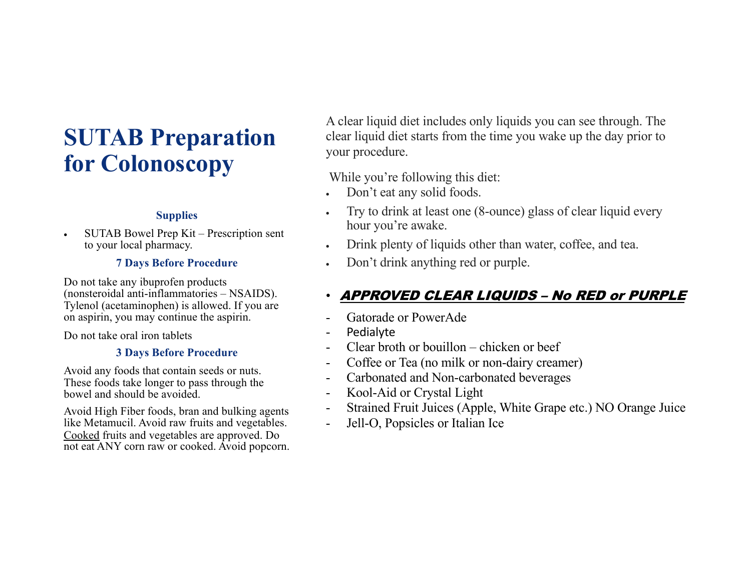# **SUTAB Preparation for Colonoscopy**

### **Supplies**

• SUTAB Bowel Prep Kit – Prescription sent to your local pharmacy.

# **7 Days Before Procedure**

Do not take any ibuprofen products (nonsteroidal anti-inflammatories – NSAIDS). Tylenol (acetaminophen) is allowed. If you are on aspirin, you may continue the aspirin.

Do not take oral iron tablets

## **3 Days Before Procedure**

Avoid any foods that contain seeds or nuts. These foods take longer to pass through the bowel and should be avoided.

Avoid High Fiber foods, bran and bulking agents like Metamucil. Avoid raw fruits and vegetables. Cooked fruits and vegetables are approved. Do not eat ANY corn raw or cooked. Avoid popcorn. A clear liquid diet includes only liquids you can see through. The clear liquid diet starts from the time you wake up the day prior to your procedure.

While you're following this diet:

- Don't eat any solid foods.
- Try to drink at least one (8-ounce) glass of clear liquid every hour you're awake.
- Drink plenty of liquids other than water, coffee, and tea.
- Don't drink anything red or purple.

# • APPROVED CLEAR LIQUIDS – No RED or PURPLE

- Gatorade or PowerAde
- **Pedialyte**
- Clear broth or bouillon chicken or beef
- Coffee or Tea (no milk or non-dairy creamer)
- Carbonated and Non-carbonated beverages
- Kool-Aid or Crystal Light
- Strained Fruit Juices (Apple, White Grape etc.) NO Orange Juice
- Jell-O, Popsicles or Italian Ice